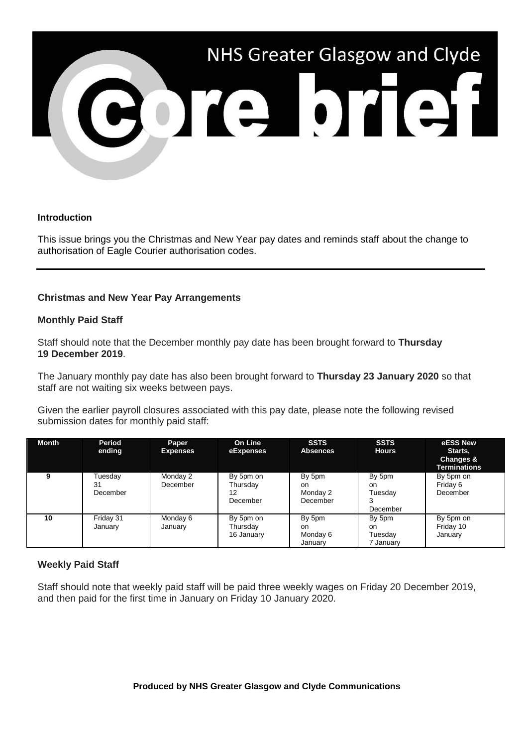

#### **Introduction**

This issue brings you the Christmas and New Year pay dates and reminds staff about the change to authorisation of Eagle Courier authorisation codes.

# **Christmas and New Year Pay Arrangements**

### **Monthly Paid Staff**

Staff should note that the December monthly pay date has been brought forward to **Thursday 19 December 2019**.

The January monthly pay date has also been brought forward to **Thursday 23 January 2020** so that staff are not waiting six weeks between pays.

Given the earlier payroll closures associated with this pay date, please note the following revised submission dates for monthly paid staff:

| <b>Month</b> | Period<br>ending          | Paper<br><b>Expenses</b> | <b>On Line</b><br>eExpenses             | <b>SSTS</b><br><b>Absences</b>                  | <b>SSTS</b><br><b>Hours</b>           | eESS New<br>Starts,<br>Changes &<br>Terminations |
|--------------|---------------------------|--------------------------|-----------------------------------------|-------------------------------------------------|---------------------------------------|--------------------------------------------------|
| 9            | Tuesdav<br>31<br>December | Monday 2<br>December     | By 5pm on<br>Thursday<br>12<br>December | By 5pm<br><sub>on</sub><br>Monday 2<br>December | By 5pm<br>on.<br>Tuesdav<br>December  | By 5pm on<br>Friday 6<br>December                |
| 10           | Friday 31<br>Januarv      | Monday 6<br>January      | By 5pm on<br>Thursday<br>16 January     | By 5pm<br><sub>on</sub><br>Monday 6<br>January  | By 5pm<br>on.<br>Tuesdav<br>7 January | By 5pm on<br>Friday 10<br>January                |

# **Weekly Paid Staff**

Staff should note that weekly paid staff will be paid three weekly wages on Friday 20 December 2019, and then paid for the first time in January on Friday 10 January 2020.